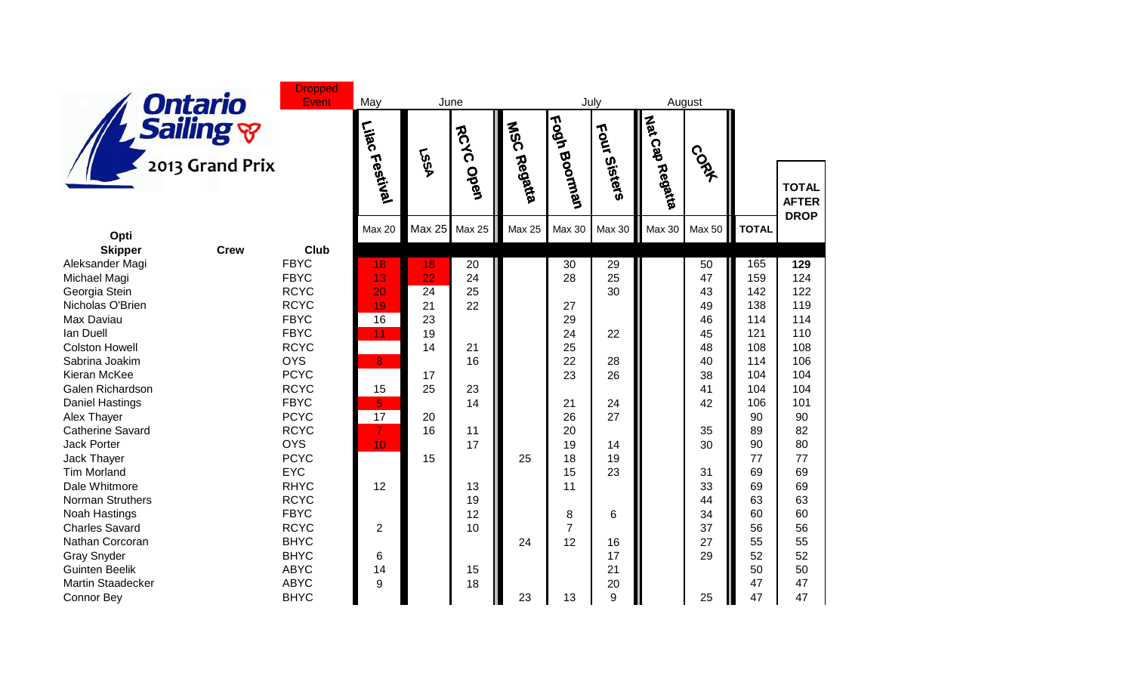

**Dropped** Event

| <b>Ontario</b><br><b>Event</b><br>Sailing &<br>2013 Grand Prix |             |                            | May<br>June     |               |                       | August<br>July |                 |                 |               |               |                                             |     |
|----------------------------------------------------------------|-------------|----------------------------|-----------------|---------------|-----------------------|----------------|-----------------|-----------------|---------------|---------------|---------------------------------------------|-----|
|                                                                |             | Lilac<br>Festival          | <b>LSSA</b>     | RCYC Open     | <b>MSC</b><br>Regatia | Eogh Boorman   | Four<br>Sisters | Mat Cap Regatta | <b>CONT</b>   |               | <b>TOTAL</b><br><b>AFTER</b><br><b>DROP</b> |     |
|                                                                |             |                            | <b>Max 20</b>   | <b>Max 25</b> | <b>Max 25</b>         | <b>Max 25</b>  | Max 30          | <b>Max 30</b>   | <b>Max 30</b> | <b>Max 50</b> | <b>TOTAL</b>                                |     |
| Opti                                                           |             |                            |                 |               |                       |                |                 |                 |               |               |                                             |     |
| <b>Skipper</b><br>Aleksander Magi                              | <b>Crew</b> | <b>Club</b><br><b>FBYC</b> | 18              | 18            |                       |                | 30              | 29              |               | 50            | 165                                         | 129 |
| Michael Magi                                                   |             | <b>FBYC</b>                | 13              | 22            | 20<br>24              |                | 28              | 25              |               | 47            | 159                                         | 124 |
| Georgia Stein                                                  |             | <b>RCYC</b>                | 20              | 24            | 25                    |                |                 | 30              |               | 43            | 142                                         | 122 |
| Nicholas O'Brien                                               |             | <b>RCYC</b>                | 19              | 21            | 22                    |                | 27              |                 |               | 49            | 138                                         | 119 |
| Max Daviau                                                     |             | <b>FBYC</b>                | $\overline{16}$ | 23            |                       |                | 29              |                 |               | 46            | 114                                         | 114 |
| lan Duell                                                      |             | <b>FBYC</b>                | 11              | 19            |                       |                | 24              | 22              |               | 45            | 121                                         | 110 |
| <b>Colston Howell</b>                                          |             | <b>RCYC</b>                |                 | 14            | 21                    |                | 25              |                 |               | 48            | 108                                         | 108 |
| Sabrina Joakim                                                 |             | <b>OYS</b>                 | 8               |               | 16                    |                | 22              | 28              |               | 40            | 114                                         | 106 |
| Kieran McKee                                                   |             | <b>PCYC</b>                |                 | 17            |                       |                | 23              | 26              |               | 38            | 104                                         | 104 |
| Galen Richardson                                               |             | <b>RCYC</b>                | 15              | 25            | 23                    |                |                 |                 |               | 41            | 104                                         | 104 |
| <b>Daniel Hastings</b>                                         |             | <b>FBYC</b>                | $\overline{5}$  |               | 14                    |                | 21              | 24              |               | 42            | 106                                         | 101 |
| Alex Thayer                                                    |             | <b>PCYC</b>                | 17              | 20            |                       |                | 26              | 27              |               |               | 90                                          | 90  |
| <b>Catherine Savard</b>                                        |             | <b>RCYC</b>                | $\overline{7}$  | 16            | 11                    |                | 20              |                 |               | 35            | 89                                          | 82  |
| Jack Porter                                                    |             | <b>OYS</b>                 | 10              |               | 17                    |                | 19              | 14              |               | 30            | 90                                          | 80  |
| Jack Thayer                                                    |             | <b>PCYC</b>                |                 | 15            |                       | 25             | 18              | 19              |               |               | 77                                          | 77  |
| <b>Tim Morland</b>                                             |             | <b>EYC</b>                 |                 |               |                       |                | 15              | 23              |               | 31            | 69                                          | 69  |
| Dale Whitmore                                                  |             | <b>RHYC</b>                | 12              |               | 13                    |                | 11              |                 |               | 33            | 69                                          | 69  |
| <b>Norman Struthers</b>                                        |             | <b>RCYC</b>                |                 |               | 19                    |                |                 |                 |               | 44            | 63                                          | 63  |
| Noah Hastings                                                  |             | <b>FBYC</b>                |                 |               | 12                    |                | 8               | 6               |               | 34            | 60                                          | 60  |
| <b>Charles Savard</b>                                          |             | <b>RCYC</b>                | $\overline{2}$  |               | 10                    |                | $\overline{7}$  |                 |               | 37            | 56                                          | 56  |
| Nathan Corcoran                                                |             | <b>BHYC</b>                |                 |               |                       | 24             | 12              | 16              |               | 27            | 55                                          | 55  |
| <b>Gray Snyder</b>                                             |             | <b>BHYC</b>                | 6               |               |                       |                |                 | 17              |               | 29            | 52                                          | 52  |
| <b>Guinten Beelik</b>                                          |             | <b>ABYC</b>                | 14              |               | 15                    |                |                 | 21              |               |               | 50                                          | 50  |
| <b>Martin Staadecker</b>                                       |             | <b>ABYC</b>                | 9               |               | 18                    |                |                 | 20              |               |               | 47                                          | 47  |
| <b>Connor Bey</b>                                              |             | <b>BHYC</b>                |                 |               |                       | 23             | 13              | 9               |               | 25            | 47                                          | 47  |